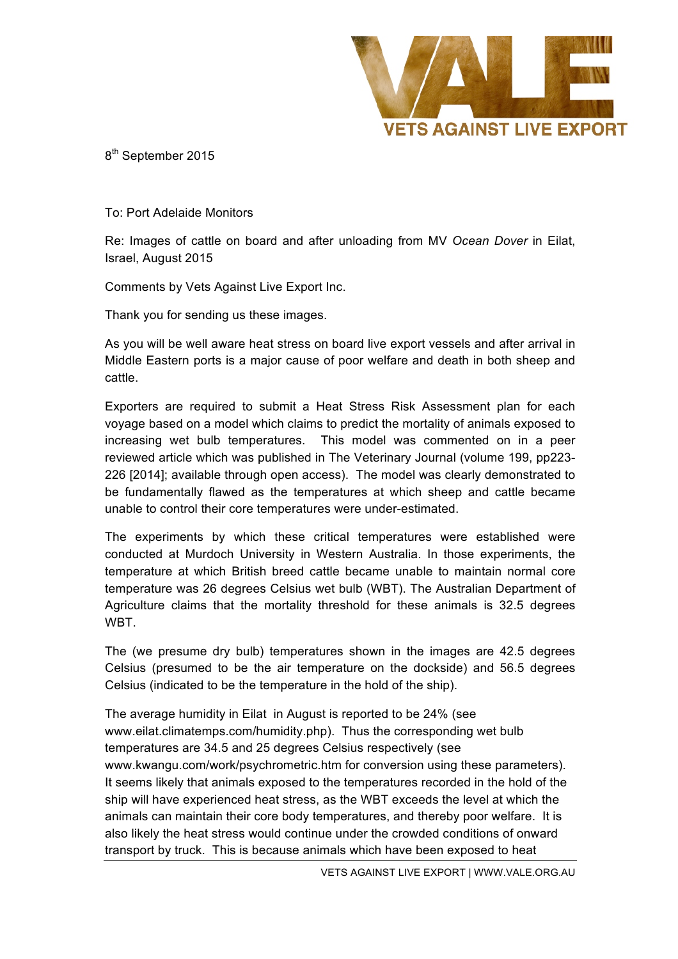

8<sup>th</sup> September 2015

To: Port Adelaide Monitors

Re: Images of cattle on board and after unloading from MV *Ocean Dover* in Eilat, Israel, August 2015

Comments by Vets Against Live Export Inc.

Thank you for sending us these images.

As you will be well aware heat stress on board live export vessels and after arrival in Middle Eastern ports is a major cause of poor welfare and death in both sheep and cattle.

Exporters are required to submit a Heat Stress Risk Assessment plan for each voyage based on a model which claims to predict the mortality of animals exposed to increasing wet bulb temperatures. This model was commented on in a peer reviewed article which was published in The Veterinary Journal (volume 199, pp223- 226 [2014]; available through open access). The model was clearly demonstrated to be fundamentally flawed as the temperatures at which sheep and cattle became unable to control their core temperatures were under-estimated.

The experiments by which these critical temperatures were established were conducted at Murdoch University in Western Australia. In those experiments, the temperature at which British breed cattle became unable to maintain normal core temperature was 26 degrees Celsius wet bulb (WBT). The Australian Department of Agriculture claims that the mortality threshold for these animals is 32.5 degrees WBT.

The (we presume dry bulb) temperatures shown in the images are 42.5 degrees Celsius (presumed to be the air temperature on the dockside) and 56.5 degrees Celsius (indicated to be the temperature in the hold of the ship).

The average humidity in Eilat in August is reported to be 24% (see www.eilat.climatemps.com/humidity.php). Thus the corresponding wet bulb temperatures are 34.5 and 25 degrees Celsius respectively (see www.kwangu.com/work/psychrometric.htm for conversion using these parameters). It seems likely that animals exposed to the temperatures recorded in the hold of the ship will have experienced heat stress, as the WBT exceeds the level at which the animals can maintain their core body temperatures, and thereby poor welfare. It is also likely the heat stress would continue under the crowded conditions of onward transport by truck. This is because animals which have been exposed to heat